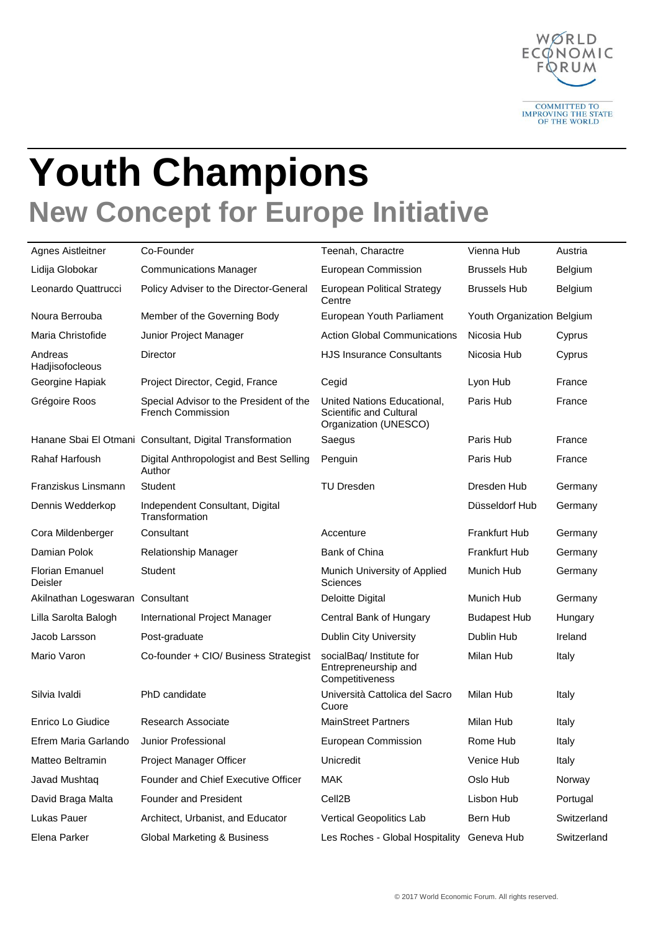

## **Youth Champions New Concept for Europe Initiative**

| Agnes Aistleitner                 | Co-Founder                                                          | Teenah, Charactre                                                                      | Vienna Hub                 | Austria     |
|-----------------------------------|---------------------------------------------------------------------|----------------------------------------------------------------------------------------|----------------------------|-------------|
| Lidija Globokar                   | <b>Communications Manager</b>                                       | European Commission                                                                    | <b>Brussels Hub</b>        | Belgium     |
| Leonardo Quattrucci               | Policy Adviser to the Director-General                              | <b>European Political Strategy</b><br>Centre                                           | <b>Brussels Hub</b>        | Belgium     |
| Noura Berrouba                    | Member of the Governing Body                                        | European Youth Parliament                                                              | Youth Organization Belgium |             |
| Maria Christofide                 | Junior Project Manager                                              | <b>Action Global Communications</b>                                                    | Nicosia Hub                | Cyprus      |
| Andreas<br>Hadjisofocleous        | Director                                                            | <b>HJS Insurance Consultants</b>                                                       | Nicosia Hub                | Cyprus      |
| Georgine Hapiak                   | Project Director, Cegid, France                                     | Cegid                                                                                  | Lyon Hub                   | France      |
| Grégoire Roos                     | Special Advisor to the President of the<br><b>French Commission</b> | United Nations Educational,<br><b>Scientific and Cultural</b><br>Organization (UNESCO) | Paris Hub                  | France      |
|                                   | Hanane Sbai El Otmani Consultant, Digital Transformation            | Saegus                                                                                 | Paris Hub                  | France      |
| <b>Rahaf Harfoush</b>             | Digital Anthropologist and Best Selling<br>Author                   | Penguin                                                                                | Paris Hub                  | France      |
| Franziskus Linsmann               | Student                                                             | <b>TU Dresden</b>                                                                      | Dresden Hub                | Germany     |
| Dennis Wedderkop                  | Independent Consultant, Digital<br>Transformation                   |                                                                                        | Düsseldorf Hub             | Germany     |
| Cora Mildenberger                 | Consultant                                                          | Accenture                                                                              | <b>Frankfurt Hub</b>       | Germany     |
| Damian Polok                      | Relationship Manager                                                | Bank of China                                                                          | <b>Frankfurt Hub</b>       | Germany     |
| <b>Florian Emanuel</b><br>Deisler | Student                                                             | Munich University of Applied<br>Sciences                                               | Munich Hub                 | Germany     |
| Akilnathan Logeswaran Consultant  |                                                                     | Deloitte Digital                                                                       | Munich Hub                 | Germany     |
| Lilla Sarolta Balogh              | International Project Manager                                       | Central Bank of Hungary                                                                | <b>Budapest Hub</b>        | Hungary     |
| Jacob Larsson                     | Post-graduate                                                       | <b>Dublin City University</b>                                                          | Dublin Hub                 | Ireland     |
| Mario Varon                       | Co-founder + CIO/ Business Strategist                               | socialBaq/ Institute for<br>Entrepreneurship and<br>Competitiveness                    | Milan Hub                  | Italy       |
| Silvia Ivaldi                     | PhD candidate                                                       | Università Cattolica del Sacro<br>Cuore                                                | Milan Hub                  | Italy       |
| Enrico Lo Giudice                 | <b>Research Associate</b>                                           | <b>MainStreet Partners</b>                                                             | Milan Hub                  | Italy       |
| Efrem Maria Garlando              | Junior Professional                                                 | European Commission                                                                    | Rome Hub                   | Italy       |
| Matteo Beltramin                  | Project Manager Officer                                             | Unicredit                                                                              | Venice Hub                 | Italy       |
| Javad Mushtaq                     | Founder and Chief Executive Officer                                 | <b>MAK</b>                                                                             | Oslo Hub                   | Norway      |
| David Braga Malta                 | Founder and President                                               | Cell <sub>2</sub> B                                                                    | Lisbon Hub                 | Portugal    |
| Lukas Pauer                       | Architect, Urbanist, and Educator                                   | Vertical Geopolitics Lab                                                               | Bern Hub                   | Switzerland |
| Elena Parker                      | Global Marketing & Business                                         | Les Roches - Global Hospitality Geneva Hub                                             |                            | Switzerland |